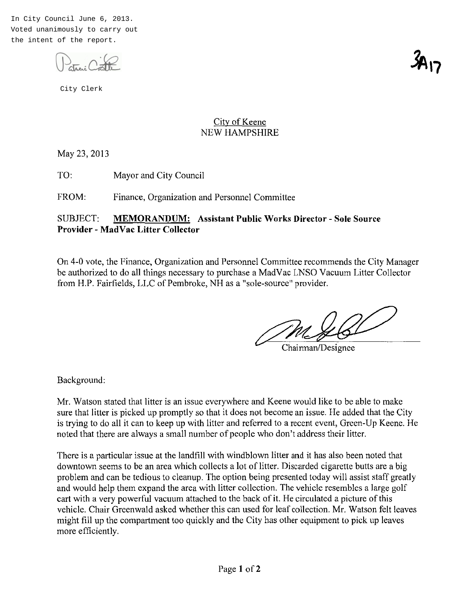In City Council June 6, 2013. Voted unanimously to carry out the intent of the report.

City Clerk

## City of Keene NEW HAMPSHIRE

May 23, 2013

TO: Mayor and City Council

FROM: Finance, Organization and Personnel Committee

## SUBJECT: **MEMORANDUM: Assistant Public Works Director - Sole Source Provider - MadVac Litter Collector**

On 4-0 vote, the Finance, Organization and Personnel Committee recommends the City Manager be authorized to do all things necessary to purchase a MadVac LNSO Vacuum Litter Collector from H.P. Fairfields, LLC of Pembroke, NH as a "sole-source" provider.

Example 1 Committee recommends the City Manager<br>
NadVac LNSO Vacuum Litter Collector<br>
1e-source" provider.<br>
Chairman/Designee

Background:

Mr. Watson stated that litter is an issue everywhere and Keene would like to be able to make sure that litter is picked up promptly so that it does not become an issue. He added that the City is trying to do all it can to keep up with litter and referred to a recent event, Green-Up Keene. He noted that there are always a small number of people who don't address their litter.

There is a particular issue at the landfill with windblown litter and it has also been noted that downtown seems to be an area which collects a lot of litter. Discarded cigarette butts are a big problem and can be tedious to cleanup. The option being presented today will assist staff greatly and would help them expand the area with litter collection. The vehicle resembles a large golf cart with a very powerful vacuum attached to the back of it. He circulated a picture of this vehicle. Chair Greenwald asked whether this can used for leaf collection. Mr. Watson felt leaves might fill up the compartment too quickly and the City has other equipment to pick up leaves more efficiently.